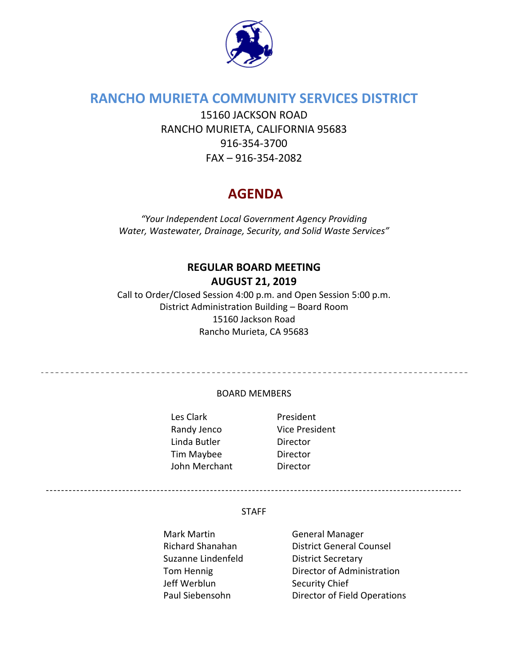

# **RANCHO MURIETA COMMUNITY SERVICES DISTRICT**

15160 JACKSON ROAD RANCHO MURIETA, CALIFORNIA 95683 916‐354‐3700 FAX – 916‐354‐2082

# **AGENDA**

*"Your Independent Local Government Agency Providing Water, Wastewater, Drainage, Security, and Solid Waste Services"*

## **REGULAR BOARD MEETING AUGUST 21, 2019**

Call to Order/Closed Session 4:00 p.m. and Open Session 5:00 p.m. District Administration Building – Board Room 15160 Jackson Road Rancho Murieta, CA 95683

#### BOARD MEMBERS

Les Clark **and President** Randy Jenco Vice President Linda Butler **Director** Tim Maybee Director John Merchant **Director** 

\_\_\_\_\_\_\_\_\_\_\_\_\_\_\_\_\_\_\_\_\_\_\_\_\_\_\_\_\_\_\_\_\_\_\_\_

#### STAFF

- Mark Martin **Carlo Accept Manager** General Manager Suzanne Lindenfeld **District Secretary** Jeff Werblun Security Chief
- Richard Shanahan District General Counsel Tom Hennig **Director of Administration** Paul Siebensohn Director of Field Operations

-------------------------------------------------------------------------------------------------------------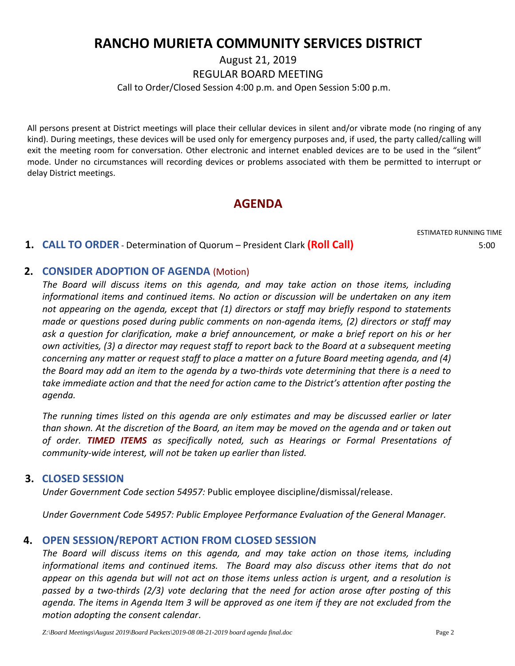# **RANCHO MURIETA COMMUNITY SERVICES DISTRICT**

August 21, 2019

REGULAR BOARD MEETING

Call to Order/Closed Session 4:00 p.m. and Open Session 5:00 p.m.

All persons present at District meetings will place their cellular devices in silent and/or vibrate mode (no ringing of any kind). During meetings, these devices will be used only for emergency purposes and, if used, the party called/calling will exit the meeting room for conversation. Other electronic and internet enabled devices are to be used in the "silent" mode. Under no circumstances will recording devices or problems associated with them be permitted to interrupt or delay District meetings.

## **AGENDA**

ESTIMATED RUNNING TIME

## **1. CALL TO ORDER** ‐ Determination of Quorum – President Clark **(Roll Call)** 5:00

## **2. CONSIDER ADOPTION OF AGENDA** (Motion)

*The Board will discuss items on this agenda, and may take action on those items, including informational items and continued items. No action or discussion will be undertaken on any item not appearing on the agenda, except that (1) directors or staff may briefly respond to statements made or questions posed during public comments on non‐agenda items, (2) directors or staff may ask a question for clarification, make a brief announcement, or make a brief report on his or her* own activities, (3) a director may request staff to report back to the Board at a subsequent meeting *concerning any matter or request staff to place a matter on a future Board meeting agenda, and (4)* the Board may add an item to the agenda by a two-thirds vote determining that there is a need to *take immediate action and that the need for action came to the District's attention after posting the agenda.*

*The running times listed on this agenda are only estimates and may be discussed earlier or later* than shown. At the discretion of the Board, an item may be moved on the agenda and or taken out *of order. TIMED ITEMS as specifically noted, such as Hearings or Formal Presentations of community‐wide interest, will not be taken up earlier than listed.*

## **3. CLOSED SESSION**

*Under Government Code section 54957:* Public employee discipline/dismissal/release.

*Under Government Code 54957: Public Employee Performance Evaluation of the General Manager.*

## **4. OPEN SESSION/REPORT ACTION FROM CLOSED SESSION**

*The Board will discuss items on this agenda, and may take action on those items, including informational items and continued items. The Board may also discuss other items that do not* appear on this agenda but will not act on those items unless action is urgent, and a resolution is passed by a two-thirds (2/3) vote declaring that the need for action arose after posting of this agenda. The items in Agenda Item 3 will be approved as one item if they are not excluded from the *motion adopting the consent calendar*.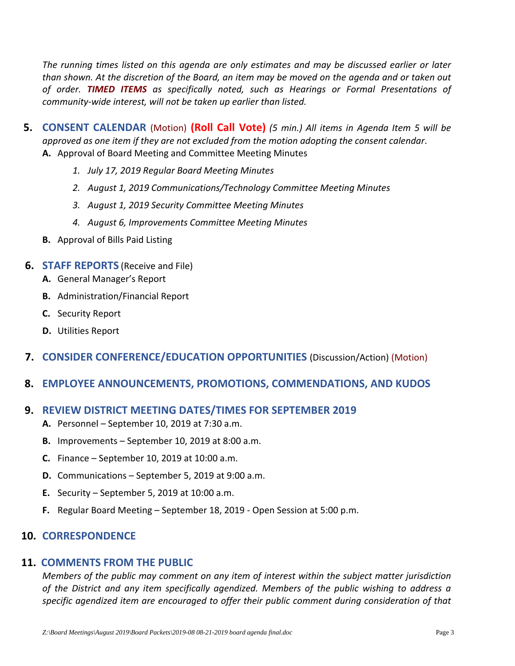*The running times listed on this agenda are only estimates and may be discussed earlier or later* than shown. At the discretion of the Board, an item may be moved on the agenda and or taken out *of order. TIMED ITEMS as specifically noted, such as Hearings or Formal Presentations of community‐wide interest, will not be taken up earlier than listed.*

- **5. CONSENT CALENDAR** (Motion) **(Roll Call Vote)** *(5 min.) All items in Agenda Item 5 will be approved as one item if they are not excluded from the motion adopting the consent calendar*. **A.** Approval of Board Meeting and Committee Meeting Minutes
	- *1. July 17, 2019 Regular Board Meeting Minutes*
	- *2. August 1, 2019 Communications/Technology Committee Meeting Minutes*
	- *3. August 1, 2019 Security Committee Meeting Minutes*
	- *4. August 6, Improvements Committee Meeting Minutes*
	- **B.** Approval of Bills Paid Listing

#### **6. STAFF REPORTS** (Receive and File)

- **A.** General Manager's Report
- **B.** Administration/Financial Report
- **C.** Security Report
- **D.** Utilities Report
- **7. CONSIDER CONFERENCE/EDUCATION OPPORTUNITIES** (Discussion/Action) (Motion)
- **8. EMPLOYEE ANNOUNCEMENTS, PROMOTIONS, COMMENDATIONS, AND KUDOS**

### **9. REVIEW DISTRICT MEETING DATES/TIMES FOR SEPTEMBER 2019**

- **A.** Personnel September 10, 2019 at 7:30 a.m.
- **B.** Improvements September 10, 2019 at 8:00 a.m.
- **C.** Finance September 10, 2019 at 10:00 a.m.
- **D.** Communications September 5, 2019 at 9:00 a.m.
- **E.** Security September 5, 2019 at 10:00 a.m.
- **F.** Regular Board Meeting September 18, 2019 ‐ Open Session at 5:00 p.m.

## **10. CORRESPONDENCE**

### **11. COMMENTS FROM THE PUBLIC**

*Members of the public may comment on any item of interest within the subject matter jurisdiction of the District and any item specifically agendized. Members of the public wishing to address a specific agendized item are encouraged to offer their public comment during consideration of that*